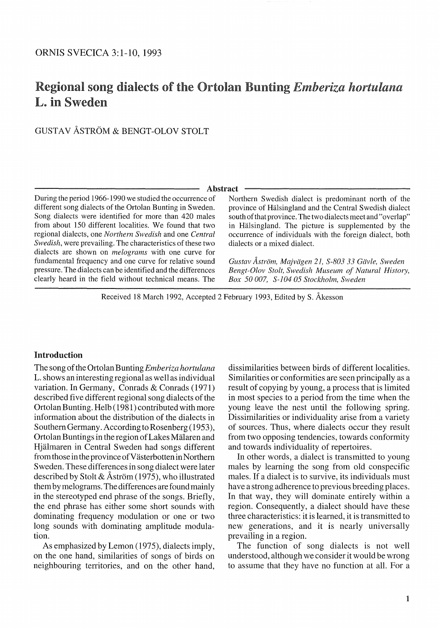# Regional song dialects of the Ortolan Bunting *Emberiza hortulana* L. in Sweden

# GUSTAV ASTROM & BENGT -OLOV STOLT

#### Abstract

During the period 1966-1990 we studied the occunence of different song dialects of the Ortolan Bunting in Sweden. Song dialects were identified for more than 420 males from about 150 different localities. We found that two regional dialects, one *Northern Swedish* and one *Central Swedish,* were prevailing. The characteristics of these two dialects are shown on *melograms* with one curve for fundamental frequency and one curve for relative sound pressure. The dialects can be identified and the differences clearly heard in the field without technical means. The Northern Swedish dialect is predominant north of the province of HaJsingland and the Central Swedish dialect south of that province. The two dialects meet and "overlap" in Halsingland. The picture is supplemented by the occurrence of individuals with the foreign dialect, both dialects or a mixed dialect.

*Gustav A.strol11, Majvdgen* 21, *S-803* 33 *Gdvie, Sweden Bengt-Olov Stolt, Swedish Museum of Natural History, Box* 50 *007, S-104* 05 *Stockholm, Sweden* 

Received 18 March 1992, Accepted 2 February 1993, Edited by S. Akesson

## Introduction

The song of the Ortolan Bunting *Emberiza hortulana*  L. shows an interesting regional as well as individual variation. **In** Germany, Conrads & Conrads (1971) described five different regional song dialects of the Ortolan Bunting. Helb (1981) contributed with more information about the distribution of the dialects in Southern Germany. According to Rosenberg (1953), Ortolan Buntings in the region of Lakes Malaren and Hjalmaren in Central Sweden had songs different from those in the province of Västerbotten in Northern Sweden. These differences in song dialect were later described by Stolt & Åström (1975), who illustrated them by melograms. The differences are found mainly in the stereotyped end phrase of the songs. Briefly, the end phrase has either some short sounds with dominating frequency modulation or one or two long sounds with dominating amplitude modulation.

As emphasized by Lemon (1975), dialects imply, on the one hand, similarities of songs of birds on neighbouring territories, and on the other hand, dissimilarities between birds of different localities. Similarities or conformities are seen principally as a result of copying by young, a process that is limited in most species to a period from the time when the young leave the nest until the following spring. Dissimilarities or individuality arise from a variety of sources. Thus, where dialects occur they result from two opposing tendencies, towards conformity and towards individuality of repertoires.

**In** other words, a dialect is transmitted to young males by learning the song from old conspecific males. If a dialect is to survive, its individuals must have a strong adherence to previous breeding places. **In** that way, they will dominate entirely within a region. Consequently, a dialect should have these three characteristics: it is learned, it is transmitted to new generations, and it is nearly universally prevailing in a region.

The function of song dialects is not well understood, although we consider it would be wrong to assume that they have no function at all. For a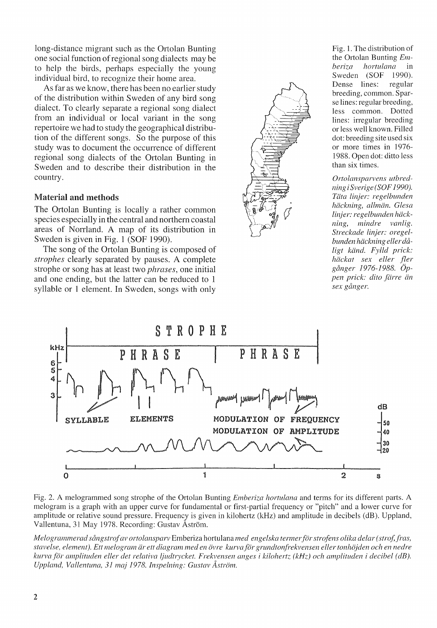long-distance migrant such as the Ortolan Bunting one social function of regional song dialects may be to help the birds, perhaps especially the young individual bird, to recognize their home area.

As far as we know, there has been no earlier study of the distribution within Sweden of any bird song dialect. To clearly separate a regional song dialect from an individual or local variant in the song repertoire we had to study the geographical distribution of the different songs. So the purpose of this study was to document the occurrence of different regional song dialects of the Ortolan Bunting in Sweden and to describe their distribution in the country.

## Material and methods

The Ortolan Bunting is locally a rather common species especially in the central and northern coastal areas of Norrland. A map of its distribution in Sweden is given in Fig. I (SOF 1990).

The song of the Ortolan Bunting is composed of *strophes* clearly separated by pauses. A complete strophe or song has at least two *phrases,* one initial and one ending, but the latter can be reduced to 1 syllable or 1 element. In Sweden, songs with only



Fig. 1. The distribution of the Ortolan Bunting *Emberiza hortulana* in *baiza hortulana* in Sweden (SOF 1990).<br>Dense lines: regular Dense lines: breeding, common. Sparse lines: regular breeding, less common. Dotted lines: irregular breeding or less well known. Filled dot: breeding site used six or more times in 1976- 1988. Open dot: ditto less than six times.

*Ortolansparvens utbredning iSverige (SOF 1990}. Tiita tinjer: regelbunden hiickning, allmiin. Glesa linjer: regelbunden häck-*<br>ning, mindre vanlig. *ning, mindre vanlig. Streckade linjer: oregelbun den hiickning ellerda* $ligt$  känd. Fylld prick: *hiickat sex eUer fler ganger* 1976-1988. *Oppen prick: dito fiirre iin sex ganger.* 



Fig. 2. A melogrammed song strophe of the Ortolan Bunting *Emberiza hortulana* and terms for its different parts. A melogram is a graph with an upper curve for fundamental or first-partial frequency or "pitch" and a lower curve for amplitude or relative sound pressure. Frequency is given in kilohertz (kHz) and amplitude in decibels (dB). Uppland, Vallentuna, 31 May 1978. Recording: Gustav Astrom.

*Melogrammerad sångstrof av ortolansparv* Emberiza hortulana *med engelska termer för strofens olika delar (strof, fras,* stavelse, element). Ett melogram är ett diagram med en övre kurva för grundtonfrekvensen eller tonhöjden och en nedre *kurva for Cll11plituden eller det relativa ljudtrycket. Frekvensen anges i kilohertz (kHz) och amplituden i decibel (dB). Uppland, Vallentuna, 31mqj* 1978. *Inspelning: Gustav Astrom.*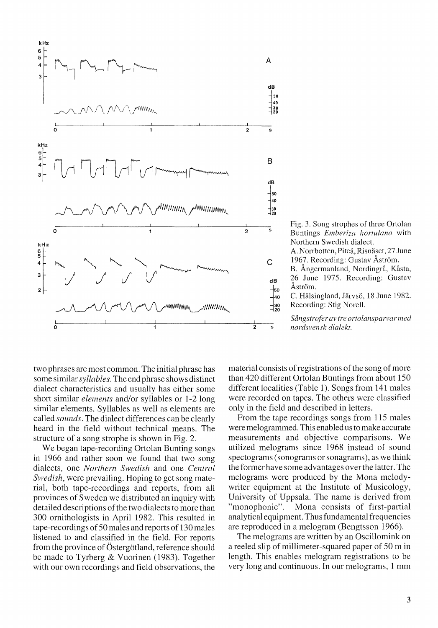

Fig. 3. Song strophes of three Ortolan Buntings *Emberiza hortulana* with Northern Swedish dialect.

A. Norrbotten, Piteå, Risnäset, 27 June 1967. Recording: Gustav Astrom.

B. Ångermanland, Nordingrå, Kåsta, 26 June 1975. Recording: Gustav Åström.

C. Hälsingland, Järvsö, 18 June 1982. Recording: Stig Norell.

*Sangstroferav tre ortolansparvar med nordsvensk dialekt.* 

two phrases are most common. The initial phrase has some similar *syllables.* The end phrase shows distinct dialect characteristics and usually has either some short similar *elements* and/or syllables or 1-2 long similar elements. Syllables as well as elements are called *sounds.* The dialect differences can be clearly heard in the field without technical means. The structure of a song strophe is shown in Fig. 2.

We began tape-recording Ortolan Bunting songs in 1966 and rather soon we found that two song dialects, one *Northern Swedish* and one *Central Swedish,* were prevailing. Hoping to get song material, both tape-recordings and reports, from all provinces of Sweden we distributed an inquiry with detailed descriptions of the two dialects to more than 300 ornithologists in April 1982. This resulted in tape-recordings of 50 males and reports of 130 males listened to and classified in the field. For reports from the province of Östergötland, reference should be made to Tyrberg & Vuorinen (1983). Together with our own recordings and field observations, the

material consists of registrations of the song of more than 420 different Ortolan Buntings from about 150 different localities (Table 1). Songs from 141 males were recorded on tapes. The others were classified only in the field and described in letters.

From the tape recordings songs from 115 males were melogrammed. This enabled us to make accurate measurements and objective comparisons. We utilized melograms since 1968 instead of sound spectograms (sonograms or sonagrams), as we think the former have some advantages over the latter. The melograms were produced by the Mona melodywriter equipment at the Institute of Musicology, University of Uppsala. The name is derived from "monophonic". Mona consists of first-partial analytical equipment. Thus fundamental frequencies are reproduced in a melogram (Bengtsson 1966).

The melograms are written by an Oscillomink on a reeled slip of millimeter-squared paper of 50 m in length. This enables melogram registrations to be very long and continuous. In our melograms, 1 mm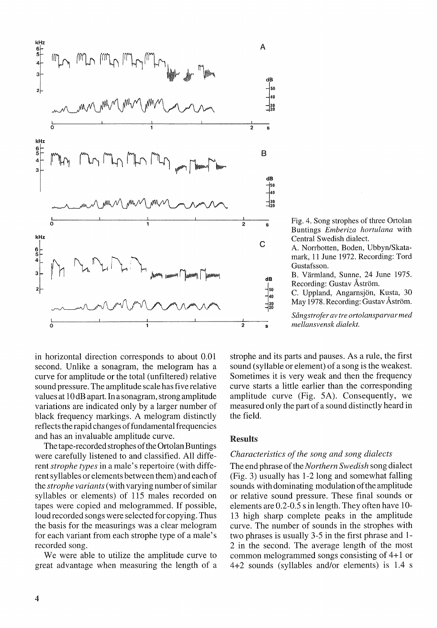

Fig. 4. Song strophes of three Ortolan Buntings *Emberiza hortulana* with Central Swedish dialect.

A. Norrbotten, Boden, Ubbyn/Skatamark, 11 June 1972. Recording: Tord Gustafsson.

B. Varmland, Sunne, 24 June 1975. Recording: Gustav Åström.

c. Uppland, Angarnsjon, Kusta, 30 May 1978. Recording: Gustav Åström.

*Scmgstroferav tre ortolansparvarmed mellansvensk dialekt.* 

in horizontal direction corresponds to about 0.01 second. Unlike a sonagram, the melogram has a curve for amplitude or the total (unfiltered) relative sound pressure. The amplitude scale has five relative values at 10 dB apart. In a sonagram, strong amplitude variations are indicated only by a larger number of black frequency markings. A melogram distinctly reflects the rapid changes of fundamental frequencies and has an invaluable amplitude curve.

The tape-recorded strophes of the Ortolan Buntings were carefully listened to and classified. All different *strophe types* in a male's repertoire (with different syllables or elements between them) and each of the *strophe variants* (with varying number of similar syllables or elements) of 115 males recorded on tapes were copied and melogrammed. If possible, loud recorded songs were selected for copying. Thus the basis for the measurings was a clear melogram for each variant from each strophe type of a male's recorded song.

We were able to utilize the amplitude curve to great advantage when measuring the length of a

strophe and its parts and pauses. As a rule, the first sound (syllable or element) of a song is the weakest. Sometimes it is very weak and then the frequency curve starts a little earlier than the corresponding amplitude curve (Fig. 5A). Consequently, we measured only the part of a sound distinctly heard in the field.

#### Results

#### *Characteristics of the song and song dialects*

The end phrase *oftheNorthern Swedish* song dialect (Fig. 3) usually has 1-2 long and somewhat falling sounds with dominating modulation of the amplitude or relative sound pressure. These final sounds or elements are  $0.2$ - $0.5$  s in length. They often have  $10$ -13 high sharp complete peaks in the amplitude curve. The number of sounds in the strophes with two phrases is usually 3-5 in the first phrase and 1- 2 in the second. The average length of the most common melogrammed songs consisting of 4+1 or 4+2 sounds (syllables and/or elements) is 1.4 s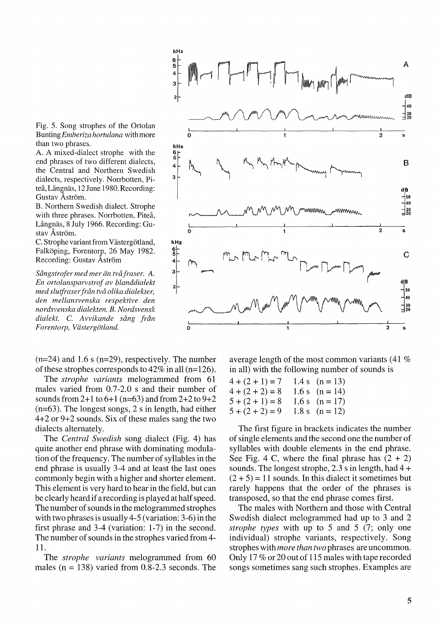

Fig. 5. Song strophes of the Ortolan Bunting *Emberiza hortulana* with more than two phrases.

A. A mixed-dialect strophe with the end phrases of two different dialects, the Central and Northern Swedish dialects, respectively. Norrbotten, Piteå, Långnäs, 12 June 1980. Recording: Gustav Åström.

B. Northern Swedish dialect. Strophe with three phrases. Norrbotten, Piteå, Långnäs, 8 July 1966. Recording: Gustav Astrom.

C. Strophe variant from Västergötland, Falköping, Forentorp, 26 May 1982. Recording: Gustav Astrom

Sångstrofer med mer än två fraser. A. *En ortolansparvstrof av blanddialekt med slutfraser fran tva olika dialekter, den mellansvenska respektive den nordsvenska dialekten. B. Nordsvensk dialekt.* C. *A vvikande sang fran*   $For entropy, Västergötland.$ 

 $(n=24)$  and 1.6 s  $(n=29)$ , respectively. The number of these strophes corresponds to  $42\%$  in all (n=126).

The *strophe variants* melogrammed from 61 males varied from 0.7-2.0 s and their number of sounds from  $2+1$  to  $6+1$  (n=63) and from  $2+2$  to  $9+2$ (n=63). The longest songs, 2 s in length, had either 4+2 or 9+2 sounds. Six of these males sang the two dialects alternately.

The *Central Swedish* song dialect (Fig. 4) has quite another end phrase with dominating modulation of the frequency. The number of syllables in the end phrase is usually 3-4 and at least the last ones commonly begin with a higher and shorter element. This element is very hard to hear in the field, but can be clearly heard if a recording is played at half speed. The number of sounds in the melogrammed strophes with two phrases is usually 4-5 (variation: 3-6) in the first phrase and 3-4 (variation: 1-7) in the second. The number of sounds in the strophes varied from 4- 11.

The *strophe variants* melogrammed from 60 males ( $n = 138$ ) varied from 0.8-2.3 seconds. The

average length of the most common variants (41 % in all) with the following number of sounds is

| $4+(2+1)=7$       | 1.4 s $(n = 13)$ |
|-------------------|------------------|
| $4 + (2 + 2) = 8$ | 1.6 s $(n = 14)$ |
| $5 + (2 + 1) = 8$ | 1.6 s $(n = 17)$ |
| $5 + (2 + 2) = 9$ | 1.8 s $(n = 12)$ |

The first figure in brackets indicates the number of single elements and the second one the number of syllables with double elements in the end phrase. See Fig. 4 C, where the final phrase has  $(2 + 2)$ sounds. The longest strophe, 2.3 s in length, had  $4 +$  $(2 + 5) = 11$  sounds. In this dialect it sometimes but rarely happens that the order of the phrases is transposed, so that the end phrase comes first.

The males with Northern and those with Central Swedish dialect melogrammed had up to 3 and 2 *strophe types* with up to 5 and 5 (7; only one individual) strophe variants, respectively. Song strophes with *more than two* phrases are uncommon. Only 17 % or 20 out of 115 males with tape recorded songs sometimes sang such strophes. Examples are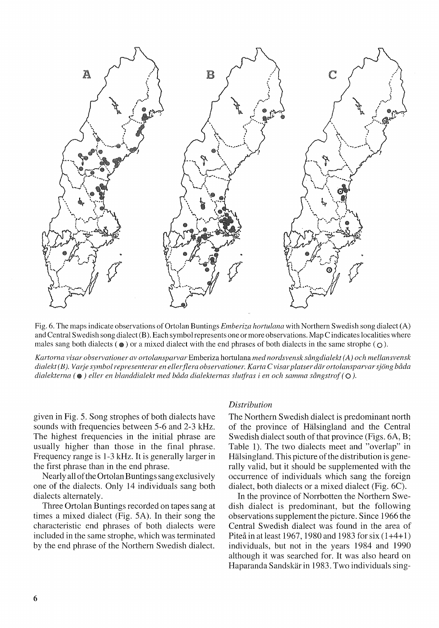

Fig. 6. The maps indicate observations of Ortolan Buntings *Emberiza hortulana* with Northern Swedish song dialect (A) and Central Swedish song dialect (B). Each symbol represents one or more observations. Map C indicates localities where males sang both dialects ( $\bullet$ ) or a mixed dialect with the end phrases of both dialects in the same strophe ( $\circ$ ).

*Kartorna visar observationer av ortolansparvar* Emberiza hortulana *med nordsvensk sangdialekt (A) och mellansvensk*  dialekt(B). Varje symbol representerar en eller flera observationer. Karta Cvisar platser där ortolansparvar sjöng båda *dialekterna* ( • ) *eller en blanddialekt med bada dialekternas slut}i"as i en och samma sangstrof* (0 ).

given in Fig. S. Song strophes of both dialects have sounds with frequencies between *S-6* and 2-3 kHz. The highest frequencies in the initial phrase are usually higher than those in the final phrase. Frequency range is 1-3 kHz. It is generally larger in the first phrase than in the end phrase.

Nearly all of the Ortolan Buntings sang exclusively one of the dialects. Only 14 individuals sang both dialects alternately.

Three Ortolan Buntings recorded on tapes sang at times a mixed dialect (Fig. SA). In their song the characteristic end phrases of both dialects were included in the same strophe, which was terminated by the end phrase of the Northern Swedish dialect.

#### *Distribution*

The Northern Swedish dialect is predominant north of the province of Hälsingland and the Central Swedish dialect south of that province (Figs. 6A, B; Table 1). The two dialects meet and "overlap" in Hälsingland. This picture of the distribution is generally valid, but it should be supplemented with the occurrence of individuals which sang the foreign dialect, both dialects or a mixed dialect (Fig. 6C).

**In** the province of Norrbotten the Northern Swedish dialect is predominant, but the following observations supplement the picture. Since 1966 the Central Swedish dialect was found in the area of Piteå in at least 1967, 1980 and 1983 for six  $(1+4+1)$ individuals, but not in the years 1984 and 1990 although it was searched for. **It** was also heard on Haparanda Sandskär in 1983. Two individuals sing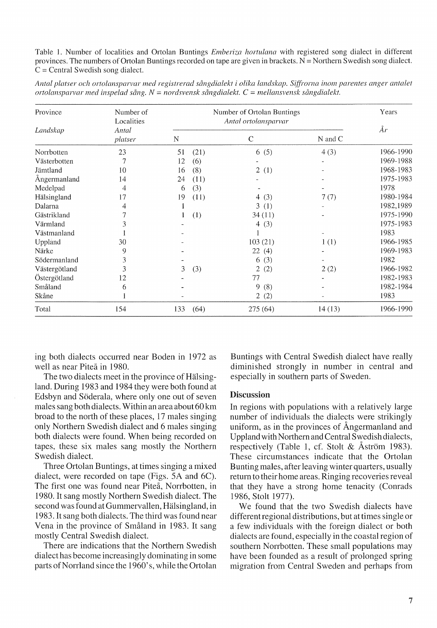Table]. Number of localities and Ortolan Buntings *Emberiza hortulana* with registered song dialect in different provinces. The numbers of Ortolan Buntings recorded on tape are given in brackets.  $N =$  Northern Swedish song dialect.  $C =$  Central Swedish song dialect.

| Province<br>Landskap | Number of<br>Localities<br>Antal<br>platser | Number of Ortolan Buntings<br>Antal ortolansparvar |      |                       |         | Years     |
|----------------------|---------------------------------------------|----------------------------------------------------|------|-----------------------|---------|-----------|
|                      |                                             | N                                                  |      | C                     | N and C | År        |
| Norrbotten           | 23                                          | 51                                                 | (21) | 6(5)                  | 4(3)    | 1966-1990 |
| Västerbotten         |                                             | 12                                                 | (6)  |                       |         | 1969-1988 |
| Jämtland             | 10                                          | 16                                                 | (8)  | 2(1)                  |         | 1968-1983 |
| Angermanland         | 14                                          | 24                                                 | (11) |                       |         | 1975-1983 |
| Medelpad             | 4                                           | 6                                                  | (3)  |                       |         | 1978      |
| Hälsingland          | 17                                          | 19                                                 | (11) | 4 $(3)$               | 7(7)    | 1980-1984 |
| Dalarna              | 4                                           |                                                    |      | 3(1)                  |         | 1982,1989 |
| Gästrikland          |                                             |                                                    | (1)  | 34(11)                |         | 1975-1990 |
| Värmland             |                                             |                                                    |      | 4 $(3)$               |         | 1975-1983 |
| Västmanland          |                                             |                                                    |      |                       |         | 1983      |
| Uppland              | 30                                          |                                                    |      | 103(21)               | 1(1)    | 1966-1985 |
| Närke                | 9                                           |                                                    |      | 22(4)                 |         | 1969-1983 |
| Södermanland         | 3                                           |                                                    |      | 6(3)                  |         | 1982      |
| Västergötland        | 3                                           | 3                                                  | (3)  | $\overline{2}$<br>(2) | 2(2)    | 1966-1982 |
| Östergötland         | 12                                          |                                                    |      | 77                    |         | 1982-1983 |
| Småland              | 6                                           |                                                    |      | 9<br>(8)              |         | 1982-1984 |
| Skåne                |                                             |                                                    |      | 2(2)                  |         | 1983      |

*Antal platser och orto!ansparvar med registrerad sclngdialekt i olika landskap. S(ftj'orna i110111 parentes anger antalet ortolal1sparvar med il1spelad sclng. N* = *110rdsvensk scll1gdialekt.* C = *mellansvensk scll1gdialekt.* 

ing both dialects occurred near Boden in 1972 as well as near Piteå in 1980.

Total 154 133 (64)

The two dialects meet in the province of Hälsingland. During 1983 and 1984 they were both found at Edsbyn and Söderala, where only one out of seven males sang both dialects. Within an area about 60 km broad to the north of these places, 17 males singing only Northern Swedish dialect and 6 males singing both dialects were found. When being recorded on tapes, these six males sang mostly the Northern Swedish dialect.

Three Ortolan Buntings, at times singing a mixed dialect, were recorded on tape (Figs. *SA* and 6C). The first one was found near Piteå. Norrbotten, in 1980. It sang mostly Northern Swedish dialect. The second was found at Gummervallen, Hälsingland, in 1983. It sang both dialects. The third was found near Vena in the province of Smaland in 1983. It sang mostly Central Swedish dialect.

There are indications that the Northern Swedish dialect has become increasingly dominating in some parts of Norrland since the 1960's, while the Ortolan Buntings with Central Swedish dialect have really diminished strongly in number in central and especially in southern parts of Sweden.

275 (64) 14 (13) 1966-1990

#### Discussion

In regions with populations with a relatively large number of individuals the dialects were strikingly uniform, as in the provinces of Angermanland and Uppland with Northern and Central Swedish dialects, respectively (Table 1, cf. Stolt & Åström 1983). These circumstances indicate that the Ortolan Bunting males, after leaving winter quarters, usually return to their home areas. Ringing recoveries reveal that they have a strong home tenacity (Conrads 1986, Stolt 1977).

We found that the two Swedish dialects have different regional distributions, but at times single or a few individuals with the foreign dialect or both dialects are found, especially in the coastal region of southern Norrbotten. These small populations may have been founded as a result of prolonged spring migration from Central Sweden and perhaps from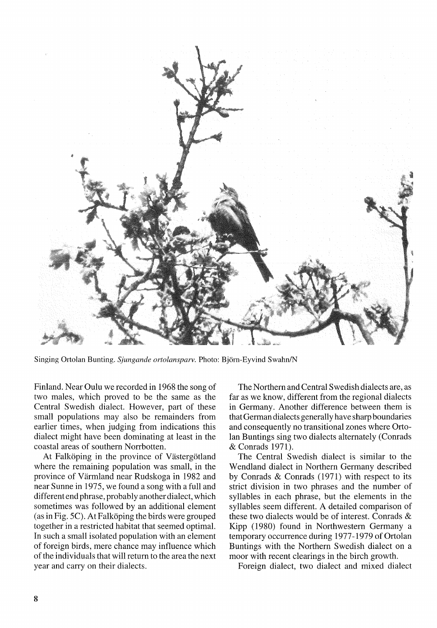

Singing Ortolan Bunting. *Sjungande ortolansparv*. Photo: Björn-Eyvind Swahn/N

Finland. Near Oulu we recorded in 1968 the song of two males, which proved to be the same as the Central Swedish dialect. However, part of these small populations may also be remainders from earlier times, when judging from indications this dialect might have been dominating at least in the coastal areas of southern Norrbotten.

At Falköping in the province of Västergötland where the remaining population was small, in the province of Varmland near Rudskoga in 1982 and near Sunne in 1975, we found a song with a full and different end phrase, probably another dialect, which sometimes was followed by an additional element (as in Fig. 5C). At Falköping the birds were grouped together in a restricted habitat that seemed optimal. In such a small isolated population with an element of foreign birds, mere chance may influence which of the individuals that will return to the area the next year and carry on their dialects.

The Northern and Central Swedish dialects are, as far as we know, different from the regional dialects in Germany. Another difference between them is that German dialects generally have sharp boundaries and consequently no transitional zones where Ortolan Buntings sing two dialects alternately (Conrads & Conrads 1971).

The Central Swedish dialect is similar to the Wendland dialect in Northern Germany described by Conrads & Conrads (1971) with respect to its strict division in two phrases and the number of syllables in each phrase, but the elements in the syllables seem different. A detailed comparison of these two dialects would be of interest. Conrads & Kipp (1980) found in Northwestern Germany a temporary occurrence during 1977-1979 of Ortolan Buntings with the Northern Swedish dialect on a moor with recent clearings in the birch growth.

Foreign dialect, two dialect and mixed dialect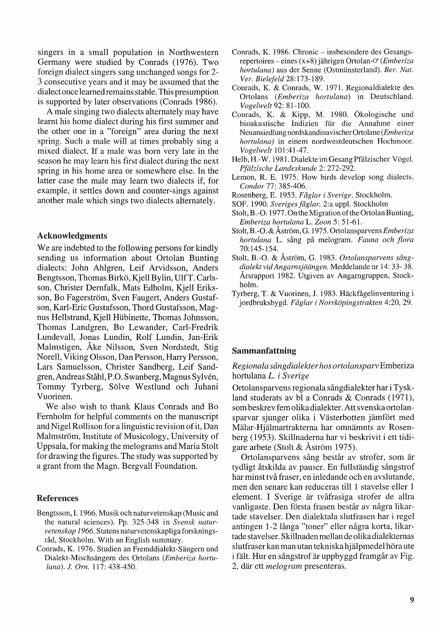singers in a small population in Northwestern Germany were studied by Conrads (1976). Two foreign dialect singers sang unchanged songs for 2- 3 consecutive years and it may be assumed that the dialect once learned remains stable. This presumption is supported by later observations (Conrads 1986).

A male singing two dialects alternately may have learnt his home dialect during his first summer and the other one in a "foreign" area during the next spring. Such a male will at times probably sing a mixed dialect. If a male was born very late in the season he may learn his first dialect during the next spring in his home area or somewhere else. In the latter case the male may learn two dialects if, for example, it settles down and counter-sings against another male which sings two dialects alternately.

## Acknowledgments

We are indebted to the following persons for kindly sending us information about Ortolan Bunting dialects: John Ahlgren, Leif Arvidsson, Anders Bengtsson, Thomas Birko, Kjell Bylin, UlfT. Carlsson, Christer Dernfalk, Mats Edholm, Kjell Eriksson, Bo Fagerström, Sven Faugert, Anders Gustafson, Karl-Eric Gustafsson, Thord Gustafsson, Magnus Hellstrand, Kjell Hübinette, Thomas Johnsson, Thomas Landgren, Bo Lewander, Carl-Fredrik Lundevall, Jonas Lundin, Rolf Lundin, Jan-Erik Malmstigen, Ake Nilsson, Sven Nordstedt, Stig Norell, Viking Olsson, Dan Persson, Harry Persson, Lars Samuelsson, Christer Sandberg, Leif Sandgren, Andreas Stahl, P.O. Swanberg, Magnus Sylven, Tommy Tyrberg, Sölve Westlund och Juhani Vuorinen.

We also wish to thank Klaus Conrads and Bo Fernholm for helpful comments on the manuscript and Nigel Rollison for a linguistic revision of it, Dan Malmström, Institute of Musicology, University of Uppsala, for making the melograms and Maria Stolt for drawing the figures. The study was supported by a grant from the Magn. Bergvall Foundation.

#### References

- Bengtsson,1. 1966. Musik och naturvetenskap (Music and the natural sciences). Pp. 325-348 in *Svensk naturvetenskap* 1966. Statens naturvetenskapliga forskningsråd, Stockholm. With an English summary.
- Conrads, K. 1976. Studien an Fremddialekt-Sängern und Dialekt-Mischsangern des Ortolans *(Emberiza hortulana). 1. am.* 117: 438-450.
- Conrads, K. 1986. Chronic insbesondere des Gesangsrepertoires – eines (x+8) jährigen Ortolan-<sup>o</sup> (*Emberiza*  $h$ ortulana) aus der Senne (Ostmünsterland). *Ber. Nat. Ver. Bielefeld* 28:173-189.
- Conrads, K. & Conrads, W. 1971. Regionaldialekte des Ortolans *(Emberiza hortulana)* in Deutschland. *Vogelwelt* 92: 81-100.
- Conrads, K. & Kipp, M. 1980. Okologische und bioakustische Indizien für die Annahme einer Neuansiedlung nordskandinavischer Ortolane *(Emberiza hortulana)* in einem nordwestdeutschen Hochmoor. *Vogelwelt 101:41-47.*
- Helb, H.-W. 1981. Dialekte im Gesang Pfälzischer Vögel. *PJiilzische Landeskunde* 2: 272-292.
- Lemon, R. E. 1975. How birds develop song dialects. *Condor* 77: 385-406.
- Rosenberg, E. 1953. *Faglar i Sverige.* Stockholm.
- SOF. 1990. *Sveriges Jaglar.* 2:a uppl. Stockholm
- Stolt, B. -0. 1977. On the Migration of the Ortolan Bunting, *Emberiza hortulana* L. *Zoon* 5: 51-61.
- Stolt, B. -0. & Astrom, G. 1975. Ortolansparvens *Embe riza hortulana* L. sang pa melogram. *Fauna och flora*  70: 145-154.
- Stolt, B.-O. & Astrom, G. 1983. *Ortolansparvens sangdialektvidAngamsjoiingen.* Meddelande nr 14: 33- 38. Arsrapport 1982. Utgiven av Angarngruppen, Stockholm.
- Tyrberg, T. & Vuorinen, J. 1983. Hackfagelinventering i jordbruksbygd. *Faglar i Norrkopingstrakten* 4:20, 29.

#### Sammanfattning

#### *Regianaia sangdiaiekter has artalansparv* Emberiza hortulana *L. i Sverige*

Ortolansparvens regionala sangdialekter har i Tyskland studerats av bl a Conrads & Conrads (1971). som beskrev fern olika dialekter. Att svenska ortolansparvar sjunger olika i Västerbotten jämfört med Mälar-Hjälmartrakterna har omnämnts av Rosenberg (1953). Skillnaderna har vi beskrivit i ett tidigare arbete (Stolt & Astrom 1975).

Ortolansparvens sång består av strofer, som är tydligt åtskilda av pauser. En fullständig sångstrof har minst två fraser, en inledande och en avslutande, men den senare kan reduceras till 1 stavelse eller 1 element. I Sverige är tvåfrasiga strofer de allra vanligaste. Den första frasen består av några likartade stavelser. Den dialektala slutfrasen har i regel antingen 1-2 långa "toner" eller några korta, likartade stavelser. Skillnaden mellan de olika dialekternas slutfraser kan man utan tekniska hjälpmedel höra ute i fält. Hur en sångstrof är uppbyggd framgår av Fig. 2, dar ett *melagram* presenteras.